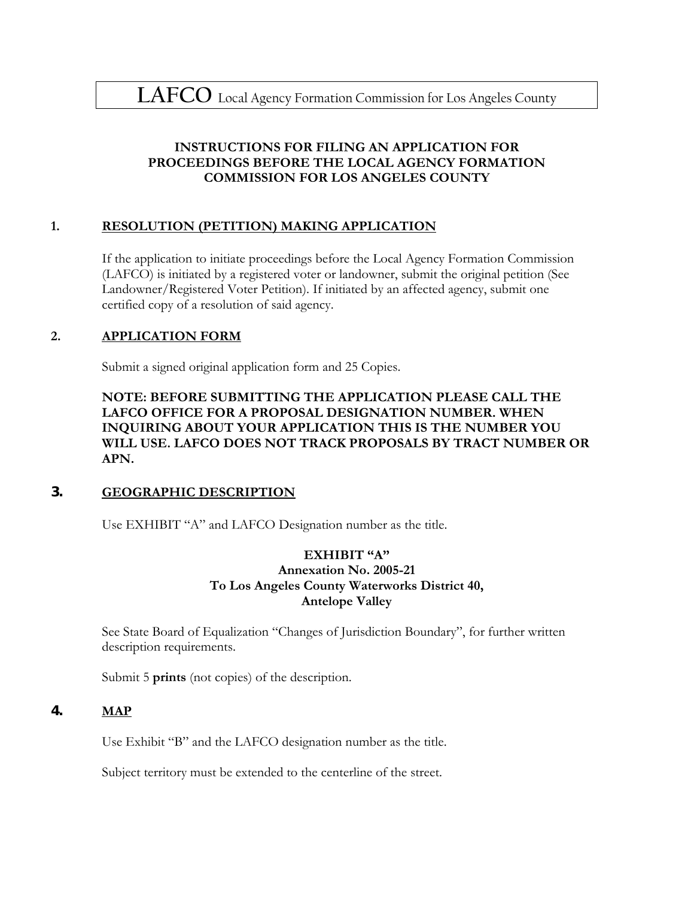## **INSTRUCTIONS FOR FILING AN APPLICATION FOR PROCEEDINGS BEFORE THE LOCAL AGENCY FORMATION COMMISSION FOR LOS ANGELES COUNTY**

## **1. RESOLUTION (PETITION) MAKING APPLICATION**

If the application to initiate proceedings before the Local Agency Formation Commission (LAFCO) is initiated by a registered voter or landowner, submit the original petition (See Landowner/Registered Voter Petition). If initiated by an affected agency, submit one certified copy of a resolution of said agency.

## **2. APPLICATION FORM**

Submit a signed original application form and 25 Copies.

**NOTE: BEFORE SUBMITTING THE APPLICATION PLEASE CALL THE LAFCO OFFICE FOR A PROPOSAL DESIGNATION NUMBER. WHEN INQUIRING ABOUT YOUR APPLICATION THIS IS THE NUMBER YOU WILL USE. LAFCO DOES NOT TRACK PROPOSALS BY TRACT NUMBER OR APN.** 

## **3. GEOGRAPHIC DESCRIPTION**

Use EXHIBIT "A" and LAFCO Designation number as the title.

#### **EXHIBIT "A" Annexation No. 2005-21 To Los Angeles County Waterworks District 40, Antelope Valley**

See State Board of Equalization "Changes of Jurisdiction Boundary", for further written description requirements.

Submit 5 **prints** (not copies) of the description.

## **4. MAP**

Use Exhibit "B" and the LAFCO designation number as the title.

Subject territory must be extended to the centerline of the street.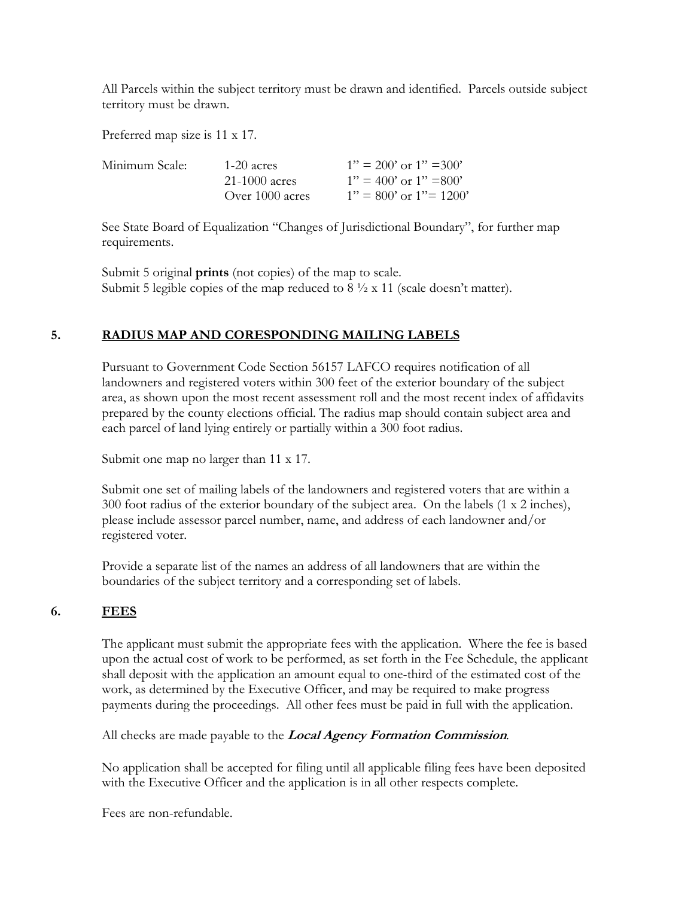All Parcels within the subject territory must be drawn and identified. Parcels outside subject territory must be drawn.

Preferred map size is 11 x 17.

| Minimum Scale: | $1-20$ acres      | $1" = 200'$ or $1" = 300'$  |
|----------------|-------------------|-----------------------------|
|                | $21-1000$ acres   | $1" = 400'$ or $1" = 800'$  |
|                | Over $1000$ acres | $1" = 800'$ or $1" = 1200'$ |

See State Board of Equalization "Changes of Jurisdictional Boundary", for further map requirements.

Submit 5 original **prints** (not copies) of the map to scale. Submit 5 legible copies of the map reduced to  $8\frac{1}{2} \times 11$  (scale doesn't matter).

## **5. RADIUS MAP AND CORESPONDING MAILING LABELS**

Pursuant to Government Code Section 56157 LAFCO requires notification of all landowners and registered voters within 300 feet of the exterior boundary of the subject area, as shown upon the most recent assessment roll and the most recent index of affidavits prepared by the county elections official. The radius map should contain subject area and each parcel of land lying entirely or partially within a 300 foot radius.

Submit one map no larger than 11 x 17.

Submit one set of mailing labels of the landowners and registered voters that are within a 300 foot radius of the exterior boundary of the subject area. On the labels (1 x 2 inches), please include assessor parcel number, name, and address of each landowner and/or registered voter.

Provide a separate list of the names an address of all landowners that are within the boundaries of the subject territory and a corresponding set of labels.

#### **6. FEES**

The applicant must submit the appropriate fees with the application. Where the fee is based upon the actual cost of work to be performed, as set forth in the Fee Schedule, the applicant shall deposit with the application an amount equal to one-third of the estimated cost of the work, as determined by the Executive Officer, and may be required to make progress payments during the proceedings. All other fees must be paid in full with the application.

All checks are made payable to the **Local Agency Formation Commission***.*

No application shall be accepted for filing until all applicable filing fees have been deposited with the Executive Officer and the application is in all other respects complete.

Fees are non-refundable.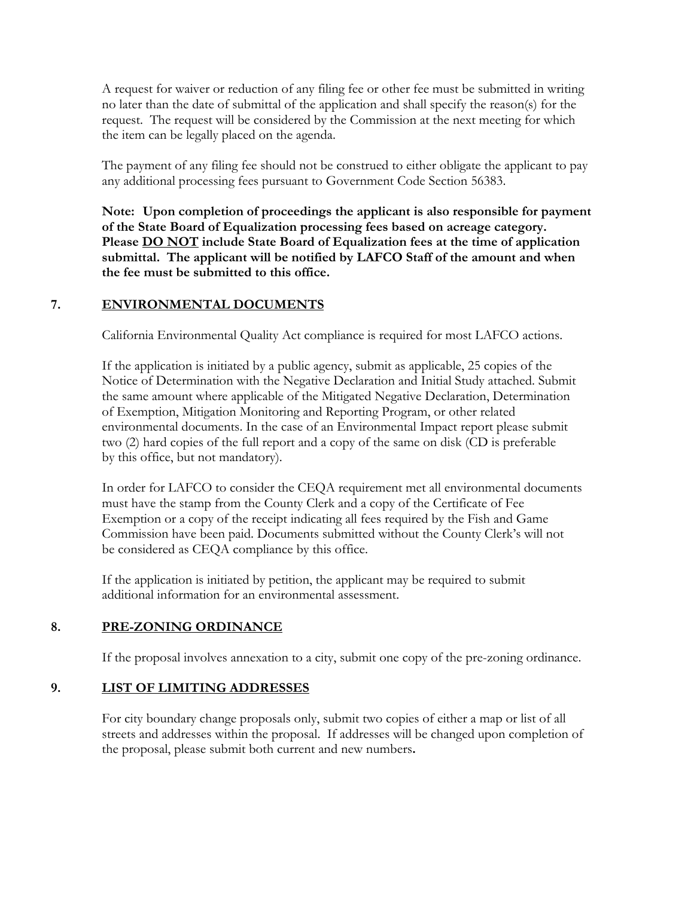A request for waiver or reduction of any filing fee or other fee must be submitted in writing no later than the date of submittal of the application and shall specify the reason(s) for the request. The request will be considered by the Commission at the next meeting for which the item can be legally placed on the agenda.

The payment of any filing fee should not be construed to either obligate the applicant to pay any additional processing fees pursuant to Government Code Section 56383.

**Note: Upon completion of proceedings the applicant is also responsible for payment of the State Board of Equalization processing fees based on acreage category. Please DO NOT include State Board of Equalization fees at the time of application submittal. The applicant will be notified by LAFCO Staff of the amount and when the fee must be submitted to this office.** 

#### **7. ENVIRONMENTAL DOCUMENTS**

California Environmental Quality Act compliance is required for most LAFCO actions.

If the application is initiated by a public agency, submit as applicable, 25 copies of the Notice of Determination with the Negative Declaration and Initial Study attached. Submit the same amount where applicable of the Mitigated Negative Declaration, Determination of Exemption, Mitigation Monitoring and Reporting Program, or other related environmental documents. In the case of an Environmental Impact report please submit two (2) hard copies of the full report and a copy of the same on disk (CD is preferable by this office, but not mandatory).

In order for LAFCO to consider the CEQA requirement met all environmental documents must have the stamp from the County Clerk and a copy of the Certificate of Fee Exemption or a copy of the receipt indicating all fees required by the Fish and Game Commission have been paid. Documents submitted without the County Clerk's will not be considered as CEQA compliance by this office.

If the application is initiated by petition, the applicant may be required to submit additional information for an environmental assessment.

## **8. PRE-ZONING ORDINANCE**

If the proposal involves annexation to a city, submit one copy of the pre-zoning ordinance.

## **9. LIST OF LIMITING ADDRESSES**

For city boundary change proposals only, submit two copies of either a map or list of all streets and addresses within the proposal. If addresses will be changed upon completion of the proposal, please submit both current and new numbers**.**